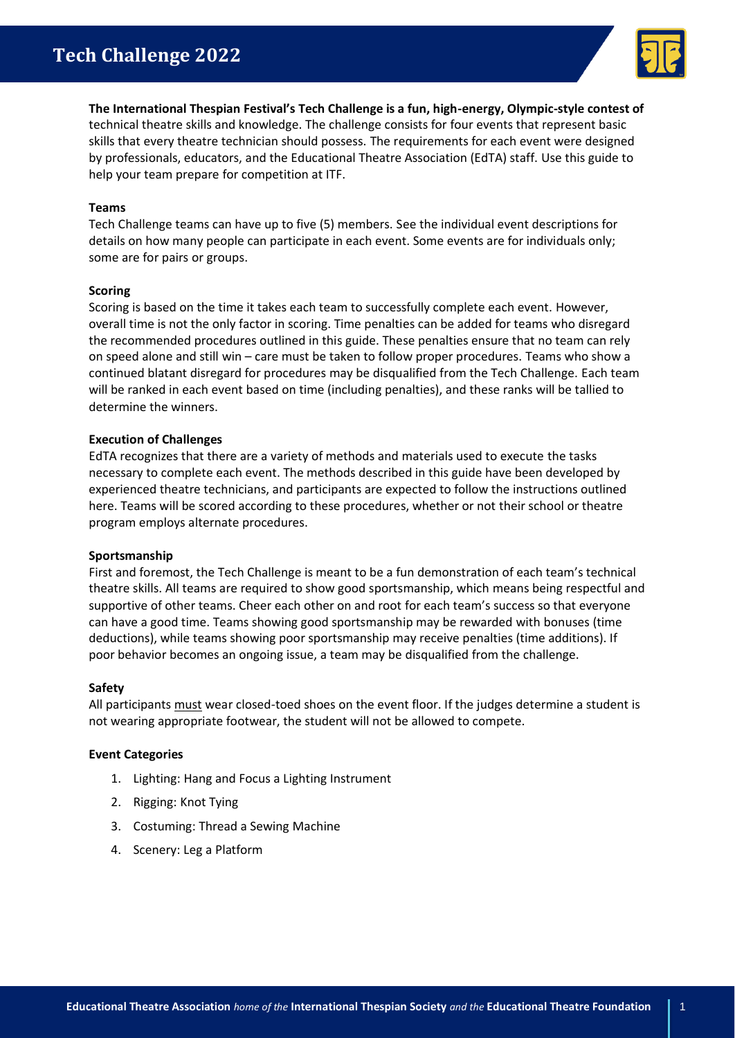

**The International Thespian Festival's Tech Challenge is a fun, high-energy, Olympic-style contest of** technical theatre skills and knowledge. The challenge consists for four events that represent basic skills that every theatre technician should possess. The requirements for each event were designed by professionals, educators, and the Educational Theatre Association (EdTA) staff. Use this guide to help your team prepare for competition at ITF.

## **Teams**

Tech Challenge teams can have up to five (5) members. See the individual event descriptions for details on how many people can participate in each event. Some events are for individuals only; some are for pairs or groups.

### **Scoring**

Scoring is based on the time it takes each team to successfully complete each event. However, overall time is not the only factor in scoring. Time penalties can be added for teams who disregard the recommended procedures outlined in this guide. These penalties ensure that no team can rely on speed alone and still win – care must be taken to follow proper procedures. Teams who show a continued blatant disregard for procedures may be disqualified from the Tech Challenge. Each team will be ranked in each event based on time (including penalties), and these ranks will be tallied to determine the winners.

### **Execution of Challenges**

EdTA recognizes that there are a variety of methods and materials used to execute the tasks necessary to complete each event. The methods described in this guide have been developed by experienced theatre technicians, and participants are expected to follow the instructions outlined here. Teams will be scored according to these procedures, whether or not their school or theatre program employs alternate procedures.

### **Sportsmanship**

First and foremost, the Tech Challenge is meant to be a fun demonstration of each team's technical theatre skills. All teams are required to show good sportsmanship, which means being respectful and supportive of other teams. Cheer each other on and root for each team's success so that everyone can have a good time. Teams showing good sportsmanship may be rewarded with bonuses (time deductions), while teams showing poor sportsmanship may receive penalties (time additions). If poor behavior becomes an ongoing issue, a team may be disqualified from the challenge.

### **Safety**

All participants must wear closed-toed shoes on the event floor. If the judges determine a student is not wearing appropriate footwear, the student will not be allowed to compete.

### **Event Categories**

- 1. Lighting: Hang and Focus a Lighting Instrument
- 2. Rigging: Knot Tying
- 3. Costuming: Thread a Sewing Machine
- 4. Scenery: Leg a Platform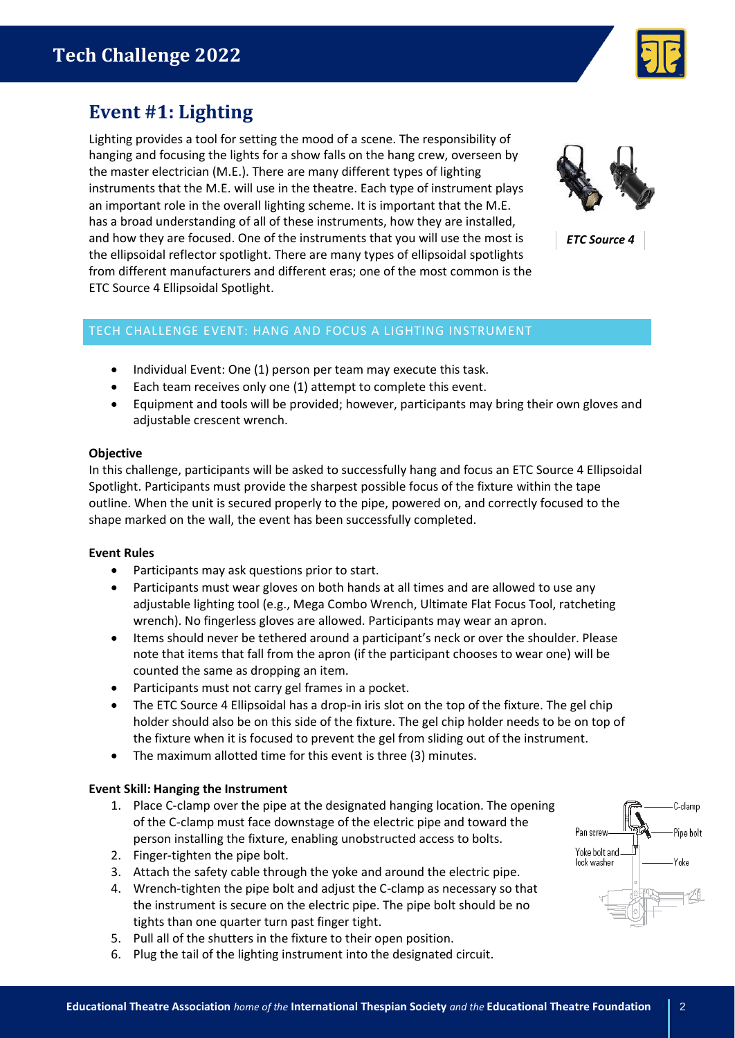

# **Event #1: Lighting**

Lighting provides a tool for setting the mood of a scene. The responsibility of hanging and focusing the lights for a show falls on the hang crew, overseen by the master electrician (M.E.). There are many different types of lighting instruments that the M.E. will use in the theatre. Each type of instrument plays an important role in the overall lighting scheme. It is important that the M.E. has a broad understanding of all of these instruments, how they are installed, and how they are focused. One of the instruments that you will use the most is the ellipsoidal reflector spotlight. There are many types of ellipsoidal spotlights from different manufacturers and different eras; one of the most common is the ETC Source 4 Ellipsoidal Spotlight.



*ETC Source 4*

# TECH CHALLENGE EVENT: HANG AND FOCUS A LIGHTING INSTRUMENT

- Individual Event: One (1) person per team may execute this task.
- Each team receives only one (1) attempt to complete this event.
- Equipment and tools will be provided; however, participants may bring their own gloves and adjustable crescent wrench.

## **Objective**

In this challenge, participants will be asked to successfully hang and focus an ETC Source 4 Ellipsoidal Spotlight. Participants must provide the sharpest possible focus of the fixture within the tape outline. When the unit is secured properly to the pipe, powered on, and correctly focused to the shape marked on the wall, the event has been successfully completed.

# **Event Rules**

- Participants may ask questions prior to start.
- Participants must wear gloves on both hands at all times and are allowed to use any adjustable lighting tool (e.g., Mega Combo Wrench, Ultimate Flat Focus Tool, ratcheting wrench). No fingerless gloves are allowed. Participants may wear an apron.
- Items should never be tethered around a participant's neck or over the shoulder. Please note that items that fall from the apron (if the participant chooses to wear one) will be counted the same as dropping an item.
- Participants must not carry gel frames in a pocket.
- The ETC Source 4 Ellipsoidal has a drop-in iris slot on the top of the fixture. The gel chip holder should also be on this side of the fixture. The gel chip holder needs to be on top of the fixture when it is focused to prevent the gel from sliding out of the instrument.
- The maximum allotted time for this event is three (3) minutes.

# **Event Skill: Hanging the Instrument**

- 1. Place C-clamp over the pipe at the designated hanging location. The opening of the C-clamp must face downstage of the electric pipe and toward the person installing the fixture, enabling unobstructed access to bolts.
- 2. Finger-tighten the pipe bolt.
- 3. Attach the safety cable through the yoke and around the electric pipe.
- 4. Wrench-tighten the pipe bolt and adjust the C-clamp as necessary so that the instrument is secure on the electric pipe. The pipe bolt should be no tights than one quarter turn past finger tight.
- 5. Pull all of the shutters in the fixture to their open position.
- 6. Plug the tail of the lighting instrument into the designated circuit.

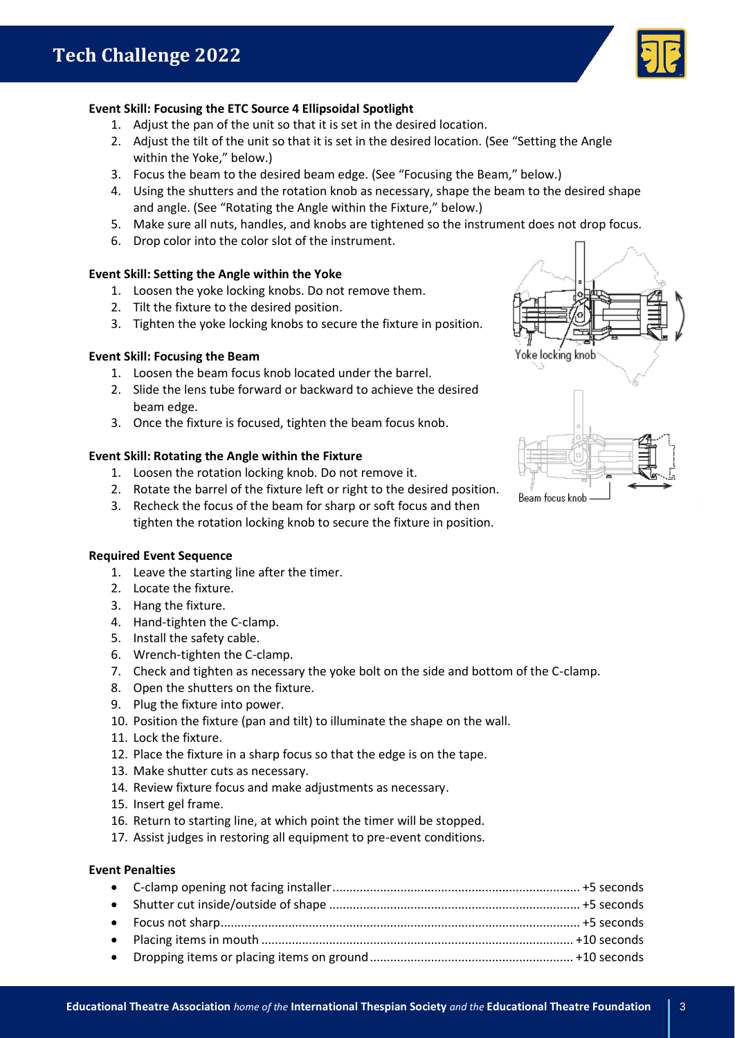

# **Event Skill: Focusing the ETC Source 4 Ellipsoidal Spotlight**

- 1. Adjust the pan of the unit so that it is set in the desired location.
- 2. Adjust the tilt of the unit so that it is set in the desired location. (See "Setting the Angle within the Yoke," below.)
- 3. Focus the beam to the desired beam edge. (See "Focusing the Beam," below.)
- 4. Using the shutters and the rotation knob as necessary, shape the beam to the desired shape and angle. (See "Rotating the Angle within the Fixture," below.)
- 5. Make sure all nuts, handles, and knobs are tightened so the instrument does not drop focus.
- 6. Drop color into the color slot of the instrument.

## **Event Skill: Setting the Angle within the Yoke**

- 1. Loosen the yoke locking knobs. Do not remove them.
- 2. Tilt the fixture to the desired position.
- 3. Tighten the yoke locking knobs to secure the fixture in position.

### **Event Skill: Focusing the Beam**

- 1. Loosen the beam focus knob located under the barrel.
- 2. Slide the lens tube forward or backward to achieve the desired beam edge.
- 3. Once the fixture is focused, tighten the beam focus knob.

## **Event Skill: Rotating the Angle within the Fixture**

- 1. Loosen the rotation locking knob. Do not remove it.
- 2. Rotate the barrel of the fixture left or right to the desired position.
- 3. Recheck the focus of the beam for sharp or soft focus and then tighten the rotation locking knob to secure the fixture in position.



- 1. Leave the starting line after the timer.
- 2. Locate the fixture.
- 3. Hang the fixture.
- 4. Hand-tighten the C-clamp.
- 5. Install the safety cable.
- 6. Wrench-tighten the C-clamp.
- 7. Check and tighten as necessary the yoke bolt on the side and bottom of the C-clamp.
- 8. Open the shutters on the fixture.
- 9. Plug the fixture into power.
- 10. Position the fixture (pan and tilt) to illuminate the shape on the wall.
- 11. Lock the fixture.
- 12. Place the fixture in a sharp focus so that the edge is on the tape.
- 13. Make shutter cuts as necessary.
- 14. Review fixture focus and make adjustments as necessary.
- 15. Insert gel frame.
- 16. Return to starting line, at which point the timer will be stopped.
- 17. Assist judges in restoring all equipment to pre-event conditions.

# **Event Penalties**

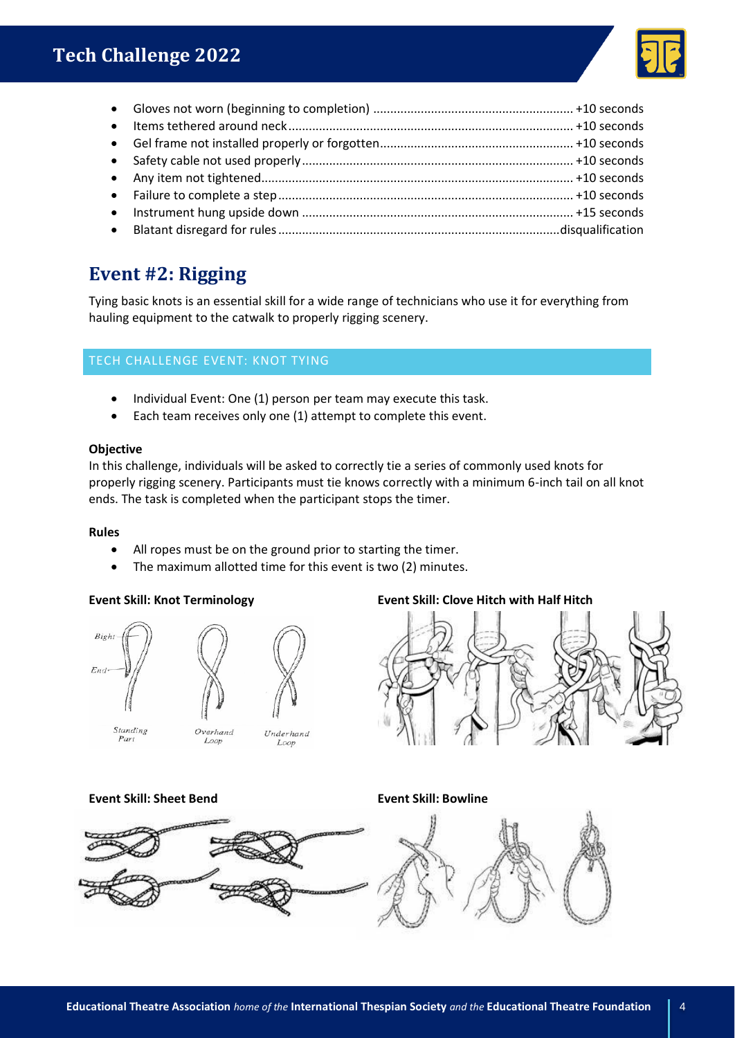

# **Event #2: Rigging**

Tying basic knots is an essential skill for a wide range of technicians who use it for everything from hauling equipment to the catwalk to properly rigging scenery.

# TECH CHALLENGE EVENT: KNOT TYING

- Individual Event: One (1) person per team may execute this task.
- Each team receives only one (1) attempt to complete this event.

# **Objective**

In this challenge, individuals will be asked to correctly tie a series of commonly used knots for properly rigging scenery. Participants must tie knows correctly with a minimum 6-inch tail on all knot ends. The task is completed when the participant stops the timer.

# **Rules**

- All ropes must be on the ground prior to starting the timer.
- The maximum allotted time for this event is two (2) minutes.



# **Event Skill: Knot Terminology Event Skill: Clove Hitch with Half Hitch**



# **Event Skill: Sheet Bend Event Skill: Bowline**

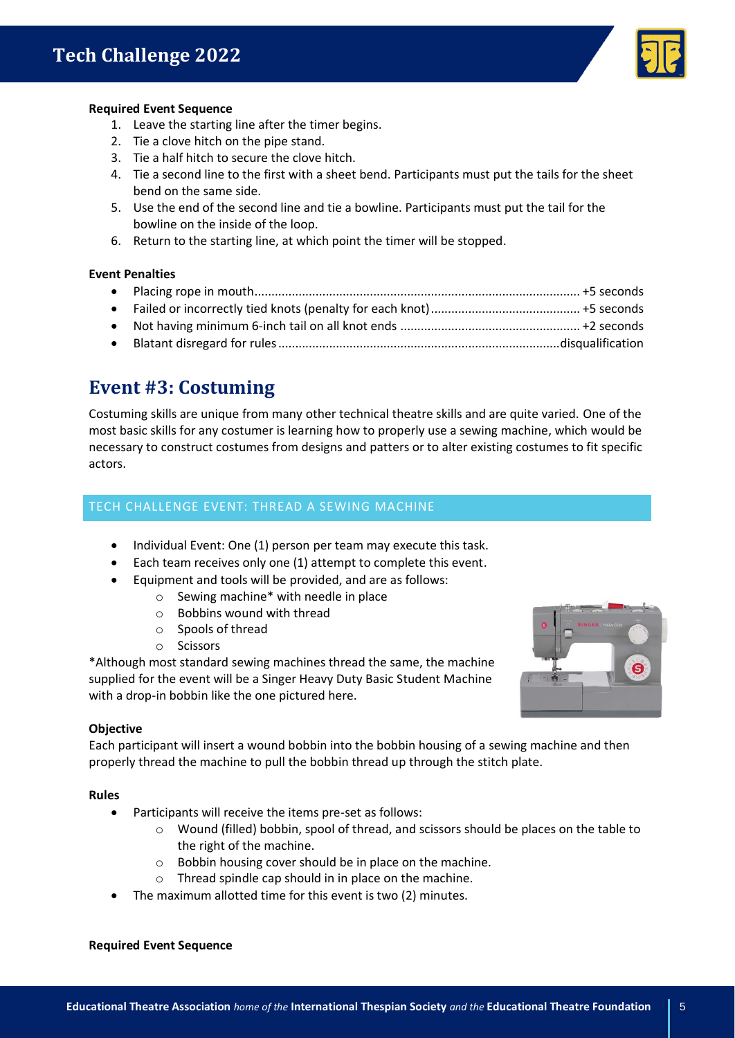

# **Required Event Sequence**

- 1. Leave the starting line after the timer begins.
- 2. Tie a clove hitch on the pipe stand.
- 3. Tie a half hitch to secure the clove hitch.
- 4. Tie a second line to the first with a sheet bend. Participants must put the tails for the sheet bend on the same side.
- 5. Use the end of the second line and tie a bowline. Participants must put the tail for the bowline on the inside of the loop.
- 6. Return to the starting line, at which point the timer will be stopped.

# **Event Penalties**

| $\bullet$ |  |
|-----------|--|
|           |  |

# **Event #3: Costuming**

Costuming skills are unique from many other technical theatre skills and are quite varied. One of the most basic skills for any costumer is learning how to properly use a sewing machine, which would be necessary to construct costumes from designs and patters or to alter existing costumes to fit specific actors.

# TECH CHALLENGE EVENT: THREAD A SEWING MACHINE

- Individual Event: One (1) person per team may execute this task.
- Each team receives only one (1) attempt to complete this event.
- Equipment and tools will be provided, and are as follows:
	- o Sewing machine\* with needle in place
		- o Bobbins wound with thread
		- o Spools of thread
		- o Scissors

\*Although most standard sewing machines thread the same, the machine supplied for the event will be a Singer Heavy Duty Basic Student Machine with a drop-in bobbin like the one pictured here.



# **Objective**

Each participant will insert a wound bobbin into the bobbin housing of a sewing machine and then properly thread the machine to pull the bobbin thread up through the stitch plate.

# **Rules**

- Participants will receive the items pre-set as follows:
	- o Wound (filled) bobbin, spool of thread, and scissors should be places on the table to the right of the machine.
	- o Bobbin housing cover should be in place on the machine.
	- o Thread spindle cap should in in place on the machine.
- The maximum allotted time for this event is two (2) minutes.

### **Required Event Sequence**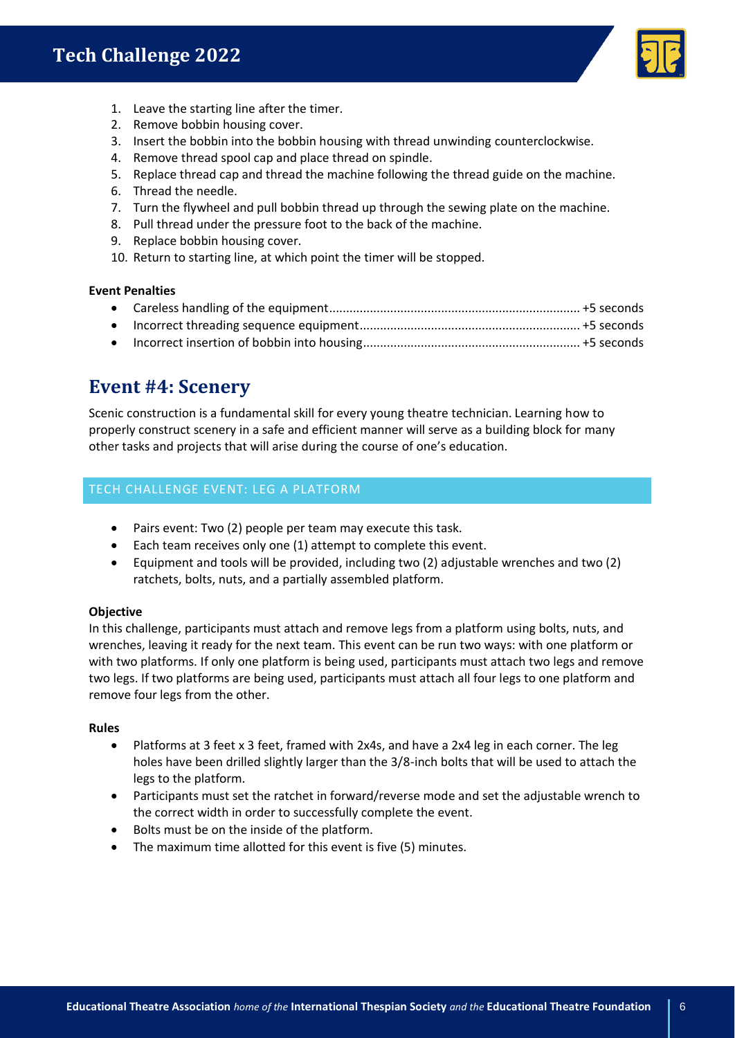# **Tech Challenge 2022**



- 1. Leave the starting line after the timer.
- 2. Remove bobbin housing cover.
- 3. Insert the bobbin into the bobbin housing with thread unwinding counterclockwise.
- 4. Remove thread spool cap and place thread on spindle.
- 5. Replace thread cap and thread the machine following the thread guide on the machine.
- 6. Thread the needle.
- 7. Turn the flywheel and pull bobbin thread up through the sewing plate on the machine.
- 8. Pull thread under the pressure foot to the back of the machine.
- 9. Replace bobbin housing cover.
- 10. Return to starting line, at which point the timer will be stopped.

## **Event Penalties**

# **Event #4: Scenery**

Scenic construction is a fundamental skill for every young theatre technician. Learning how to properly construct scenery in a safe and efficient manner will serve as a building block for many other tasks and projects that will arise during the course of one's education.

# TECH CHALLENGE EVENT: LEG A PLATFORM

- Pairs event: Two (2) people per team may execute this task.
- Each team receives only one (1) attempt to complete this event.
- Equipment and tools will be provided, including two (2) adjustable wrenches and two (2) ratchets, bolts, nuts, and a partially assembled platform.

# **Objective**

In this challenge, participants must attach and remove legs from a platform using bolts, nuts, and wrenches, leaving it ready for the next team. This event can be run two ways: with one platform or with two platforms. If only one platform is being used, participants must attach two legs and remove two legs. If two platforms are being used, participants must attach all four legs to one platform and remove four legs from the other.

# **Rules**

- Platforms at 3 feet x 3 feet, framed with 2x4s, and have a 2x4 leg in each corner. The leg holes have been drilled slightly larger than the 3/8-inch bolts that will be used to attach the legs to the platform.
- Participants must set the ratchet in forward/reverse mode and set the adjustable wrench to the correct width in order to successfully complete the event.
- Bolts must be on the inside of the platform.
- The maximum time allotted for this event is five (5) minutes.